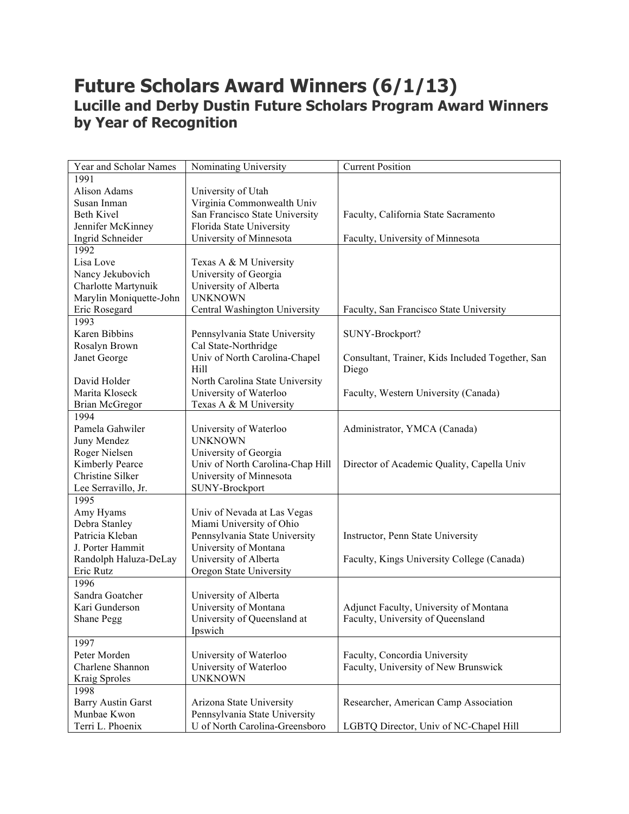## **Future Scholars Award Winners (6/1/13) Lucille and Derby Dustin Future Scholars Program Award Winners by Year of Recognition**

| Year and Scholar Names        | Nominating University                    | <b>Current Position</b>                          |
|-------------------------------|------------------------------------------|--------------------------------------------------|
| 1991                          |                                          |                                                  |
| Alison Adams                  | University of Utah                       |                                                  |
| Susan Inman                   | Virginia Commonwealth Univ               |                                                  |
| <b>Beth Kivel</b>             | San Francisco State University           | Faculty, California State Sacramento             |
| Jennifer McKinney             | Florida State University                 |                                                  |
| Ingrid Schneider              | University of Minnesota                  | Faculty, University of Minnesota                 |
| 1992                          |                                          |                                                  |
| Lisa Love                     | Texas A & M University                   |                                                  |
| Nancy Jekubovich              | University of Georgia                    |                                                  |
| Charlotte Martynuik           | University of Alberta                    |                                                  |
| Marylin Moniquette-John       | <b>UNKNOWN</b>                           |                                                  |
| Eric Rosegard                 | Central Washington University            | Faculty, San Francisco State University          |
| 1993                          |                                          |                                                  |
| Karen Bibbins                 | Pennsylvania State University            | SUNY-Brockport?                                  |
| Rosalyn Brown                 | Cal State-Northridge                     |                                                  |
| Janet George                  | Univ of North Carolina-Chapel            | Consultant, Trainer, Kids Included Together, San |
|                               | Hill                                     | Diego                                            |
| David Holder                  | North Carolina State University          |                                                  |
| Marita Kloseck                | University of Waterloo                   | Faculty, Western University (Canada)             |
|                               | Texas A & M University                   |                                                  |
| <b>Brian McGregor</b><br>1994 |                                          |                                                  |
| Pamela Gahwiler               |                                          |                                                  |
|                               | University of Waterloo<br><b>UNKNOWN</b> | Administrator, YMCA (Canada)                     |
| Juny Mendez                   |                                          |                                                  |
| Roger Nielsen                 | University of Georgia                    |                                                  |
| Kimberly Pearce               | Univ of North Carolina-Chap Hill         | Director of Academic Quality, Capella Univ       |
| <b>Christine Silker</b>       | University of Minnesota                  |                                                  |
| Lee Serravillo, Jr.           | <b>SUNY-Brockport</b>                    |                                                  |
| 1995                          |                                          |                                                  |
| Amy Hyams                     | Univ of Nevada at Las Vegas              |                                                  |
| Debra Stanley                 | Miami University of Ohio                 |                                                  |
| Patricia Kleban               | Pennsylvania State University            | Instructor, Penn State University                |
| J. Porter Hammit              | University of Montana                    |                                                  |
| Randolph Haluza-DeLay         | University of Alberta                    | Faculty, Kings University College (Canada)       |
| Eric Rutz                     | Oregon State University                  |                                                  |
| 1996                          |                                          |                                                  |
| Sandra Goatcher               | University of Alberta                    |                                                  |
| Kari Gunderson                | University of Montana                    | Adjunct Faculty, University of Montana           |
| Shane Pegg                    | University of Queensland at              | Faculty, University of Queensland                |
|                               | Ipswich                                  |                                                  |
| 1997                          |                                          |                                                  |
| Peter Morden                  | University of Waterloo                   | Faculty, Concordia University                    |
| Charlene Shannon              | University of Waterloo                   | Faculty, University of New Brunswick             |
| Kraig Sproles                 | <b>UNKNOWN</b>                           |                                                  |
| 1998                          |                                          |                                                  |
| <b>Barry Austin Garst</b>     | Arizona State University                 | Researcher, American Camp Association            |
| Munbae Kwon                   | Pennsylvania State University            |                                                  |
| Terri L. Phoenix              | U of North Carolina-Greensboro           | LGBTQ Director, Univ of NC-Chapel Hill           |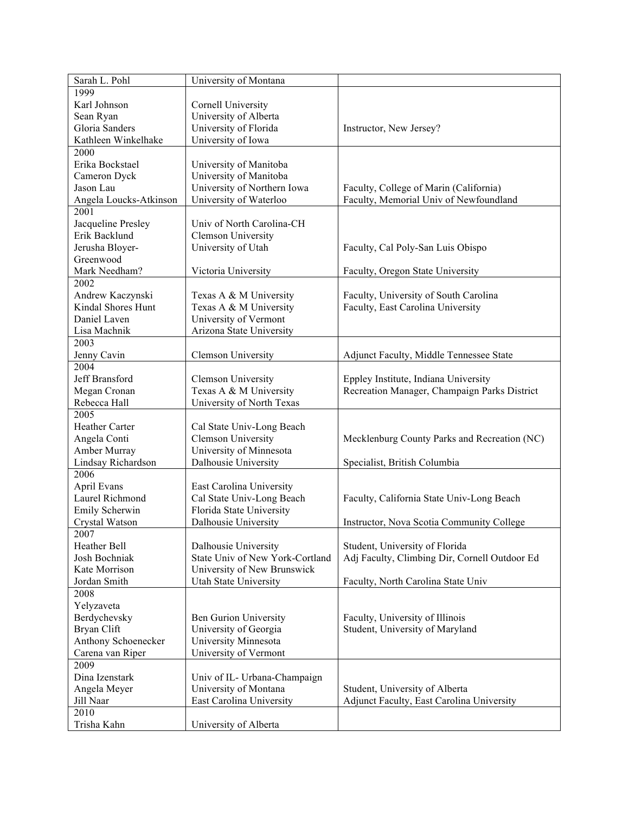| Sarah L. Pohl             | University of Montana           |                                               |
|---------------------------|---------------------------------|-----------------------------------------------|
| 1999                      |                                 |                                               |
| Karl Johnson              | Cornell University              |                                               |
| Sean Ryan                 | University of Alberta           |                                               |
| Gloria Sanders            | University of Florida           | Instructor, New Jersey?                       |
| Kathleen Winkelhake       | University of Iowa              |                                               |
| 2000                      |                                 |                                               |
| Erika Bockstael           |                                 |                                               |
|                           | University of Manitoba          |                                               |
| Cameron Dyck<br>Jason Lau | University of Manitoba          |                                               |
|                           | University of Northern Iowa     | Faculty, College of Marin (California)        |
| Angela Loucks-Atkinson    | University of Waterloo          | Faculty, Memorial Univ of Newfoundland        |
| 2001                      |                                 |                                               |
| Jacqueline Presley        | Univ of North Carolina-CH       |                                               |
| Erik Backlund             | <b>Clemson University</b>       |                                               |
| Jerusha Bloyer-           | University of Utah              | Faculty, Cal Poly-San Luis Obispo             |
| Greenwood                 |                                 |                                               |
| Mark Needham?             | Victoria University             | Faculty, Oregon State University              |
| 2002                      |                                 |                                               |
| Andrew Kaczynski          | Texas A & M University          | Faculty, University of South Carolina         |
| Kindal Shores Hunt        | Texas A & M University          | Faculty, East Carolina University             |
| Daniel Laven              | University of Vermont           |                                               |
| Lisa Machnik              | Arizona State University        |                                               |
| 2003                      |                                 |                                               |
| Jenny Cavin               | <b>Clemson University</b>       | Adjunct Faculty, Middle Tennessee State       |
| 2004                      |                                 |                                               |
| Jeff Bransford            | <b>Clemson University</b>       | Eppley Institute, Indiana University          |
| Megan Cronan              | Texas A & M University          | Recreation Manager, Champaign Parks District  |
| Rebecca Hall              | University of North Texas       |                                               |
| 2005                      |                                 |                                               |
| <b>Heather Carter</b>     | Cal State Univ-Long Beach       |                                               |
| Angela Conti              | <b>Clemson University</b>       | Mecklenburg County Parks and Recreation (NC)  |
| Amber Murray              | University of Minnesota         |                                               |
| Lindsay Richardson        | Dalhousie University            | Specialist, British Columbia                  |
| 2006                      |                                 |                                               |
| April Evans               | East Carolina University        |                                               |
| Laurel Richmond           | Cal State Univ-Long Beach       | Faculty, California State Univ-Long Beach     |
| Emily Scherwin            | Florida State University        |                                               |
| Crystal Watson            | Dalhousie University            | Instructor, Nova Scotia Community College     |
| 2007                      |                                 |                                               |
| Heather Bell              | Dalhousie University            | Student, University of Florida                |
| Josh Bochniak             | State Univ of New York-Cortland | Adj Faculty, Climbing Dir, Cornell Outdoor Ed |
| Kate Morrison             | University of New Brunswick     |                                               |
|                           |                                 |                                               |
| Jordan Smith              | Utah State University           | Faculty, North Carolina State Univ            |
| 2008                      |                                 |                                               |
| Yelyzaveta                |                                 |                                               |
| Berdychevsky              | <b>Ben Gurion University</b>    | Faculty, University of Illinois               |
| Bryan Clift               | University of Georgia           | Student, University of Maryland               |
| Anthony Schoenecker       | University Minnesota            |                                               |
| Carena van Riper          | University of Vermont           |                                               |
| 2009                      |                                 |                                               |
| Dina Izenstark            | Univ of IL- Urbana-Champaign    |                                               |
| Angela Meyer              | University of Montana           | Student, University of Alberta                |
| Jill Naar                 | East Carolina University        | Adjunct Faculty, East Carolina University     |
| 2010                      |                                 |                                               |
| Trisha Kahn               | University of Alberta           |                                               |